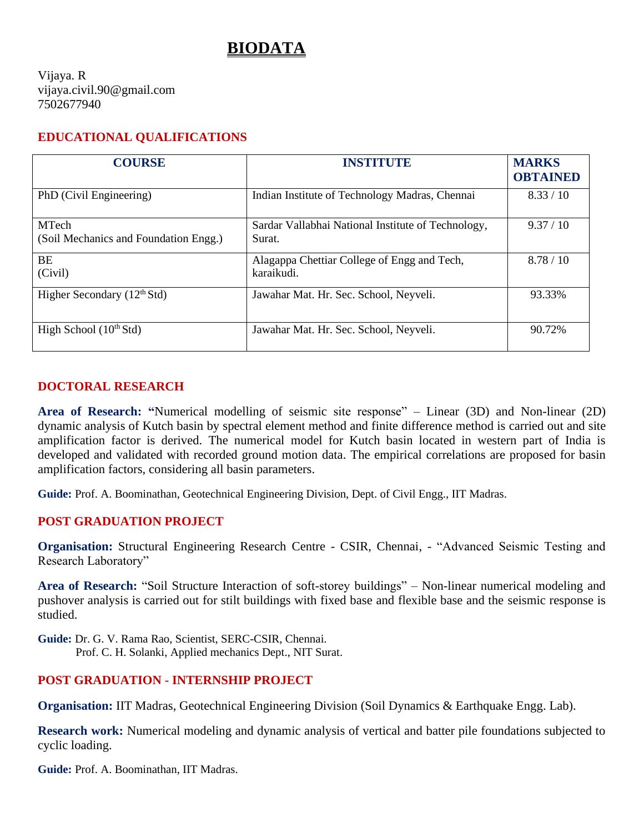# **BIODATA**

Vijaya. R vijaya.civil.90@gmail.com 7502677940

#### **EDUCATIONAL QUALIFICATIONS**

| <b>COURSE</b>                                         | INSTITUTE                                                    | <b>MARKS</b><br><b>OBTAINED</b> |
|-------------------------------------------------------|--------------------------------------------------------------|---------------------------------|
| PhD (Civil Engineering)                               | Indian Institute of Technology Madras, Chennai               | 8.33 / 10                       |
| <b>MTech</b><br>(Soil Mechanics and Foundation Engg.) | Sardar Vallabhai National Institute of Technology,<br>Surat. | 9.37 / 10                       |
| BE<br>(Civil)                                         | Alagappa Chettiar College of Engg and Tech,<br>karaikudi.    | 8.78/10                         |
| Higher Secondary $(12th Std)$                         | Jawahar Mat. Hr. Sec. School, Neyveli.                       | 93.33%                          |
| High School $(10th Std)$                              | Jawahar Mat. Hr. Sec. School, Neyveli.                       | 90.72%                          |

#### **DOCTORAL RESEARCH**

**Area of Research: "**Numerical modelling of seismic site response" – Linear (3D) and Non-linear (2D) dynamic analysis of Kutch basin by spectral element method and finite difference method is carried out and site amplification factor is derived. The numerical model for Kutch basin located in western part of India is developed and validated with recorded ground motion data. The empirical correlations are proposed for basin amplification factors, considering all basin parameters.

**Guide:** Prof. A. Boominathan, Geotechnical Engineering Division, Dept. of Civil Engg., IIT Madras.

#### **POST GRADUATION PROJECT**

**Organisation:** Structural Engineering Research Centre - CSIR, Chennai, - "Advanced Seismic Testing and Research Laboratory"

**Area of Research:** "Soil Structure Interaction of soft-storey buildings" – Non-linear numerical modeling and pushover analysis is carried out for stilt buildings with fixed base and flexible base and the seismic response is studied.

**Guide:** Dr. G. V. Rama Rao, Scientist, SERC-CSIR, Chennai. Prof. C. H. Solanki, Applied mechanics Dept., NIT Surat.

#### **POST GRADUATION - INTERNSHIP PROJECT**

**Organisation:** IIT Madras, Geotechnical Engineering Division (Soil Dynamics & Earthquake Engg. Lab).

**Research work:** Numerical modeling and dynamic analysis of vertical and batter pile foundations subjected to cyclic loading.

**Guide:** Prof. A. Boominathan, IIT Madras.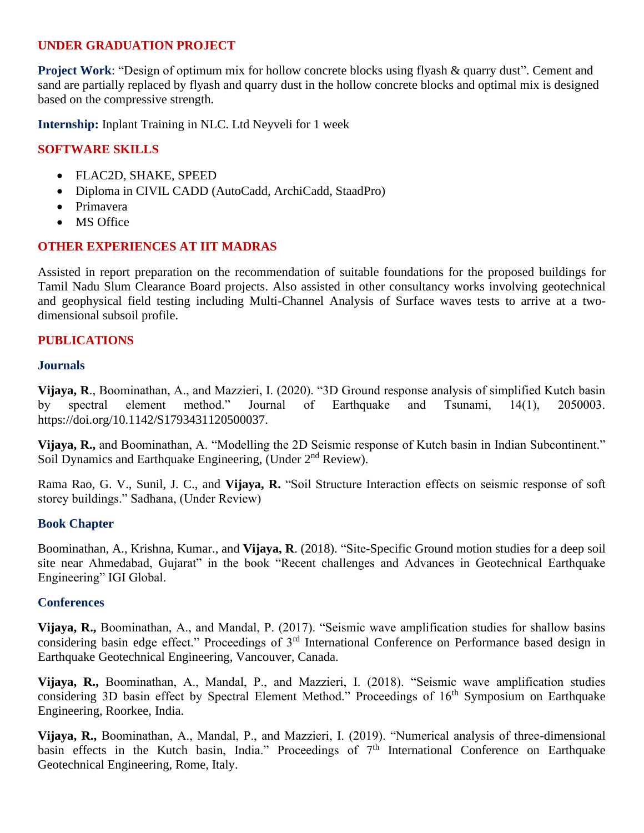### **UNDER GRADUATION PROJECT**

**Project Work:** "Design of optimum mix for hollow concrete blocks using flyash & quarry dust". Cement and sand are partially replaced by flyash and quarry dust in the hollow concrete blocks and optimal mix is designed based on the compressive strength.

**Internship:** Inplant Training in NLC. Ltd Neyveli for 1 week

#### **SOFTWARE SKILLS**

- FLAC2D, SHAKE, SPEED
- Diploma in CIVIL CADD (AutoCadd, ArchiCadd, StaadPro)
- Primavera
- MS Office

#### **OTHER EXPERIENCES AT IIT MADRAS**

Assisted in report preparation on the recommendation of suitable foundations for the proposed buildings for Tamil Nadu Slum Clearance Board projects. Also assisted in other consultancy works involving geotechnical and geophysical field testing including Multi-Channel Analysis of Surface waves tests to arrive at a twodimensional subsoil profile.

#### **PUBLICATIONS**

#### **Journals**

**Vijaya, R**., Boominathan, A., and Mazzieri, I. (2020). "3D Ground response analysis of simplified Kutch basin by spectral element method." Journal of Earthquake and Tsunami, 14(1), 2050003. [https://doi.org/10.1142/S1793431120500037.](https://doi.org/10.1142/S1793431120500037)

**Vijaya, R.,** and Boominathan, A. "Modelling the 2D Seismic response of Kutch basin in Indian Subcontinent." Soil Dynamics and Earthquake Engineering, (Under 2<sup>nd</sup> Review).

Rama Rao, G. V., Sunil, J. C., and **Vijaya, R.** "Soil Structure Interaction effects on seismic response of soft storey buildings." Sadhana, (Under Review)

#### **Book Chapter**

Boominathan, A., Krishna, Kumar., and **Vijaya, R**. (2018). "Site-Specific Ground motion studies for a deep soil site near Ahmedabad, Gujarat" in the book "Recent challenges and Advances in Geotechnical Earthquake Engineering" IGI Global.

#### **Conferences**

**Vijaya, R.,** Boominathan, A., and Mandal, P. (2017). "Seismic wave amplification studies for shallow basins considering basin edge effect." Proceedings of 3rd International Conference on Performance based design in Earthquake Geotechnical Engineering, Vancouver, Canada.

**Vijaya, R.,** Boominathan, A., Mandal, P., and Mazzieri, I. (2018). "Seismic wave amplification studies considering 3D basin effect by Spectral Element Method." Proceedings of 16<sup>th</sup> Symposium on Earthquake Engineering, Roorkee, India.

**Vijaya, R.,** Boominathan, A., Mandal, P., and Mazzieri, I. (2019). "Numerical analysis of three-dimensional basin effects in the Kutch basin, India." Proceedings of 7<sup>th</sup> International Conference on Earthquake Geotechnical Engineering, Rome, Italy.